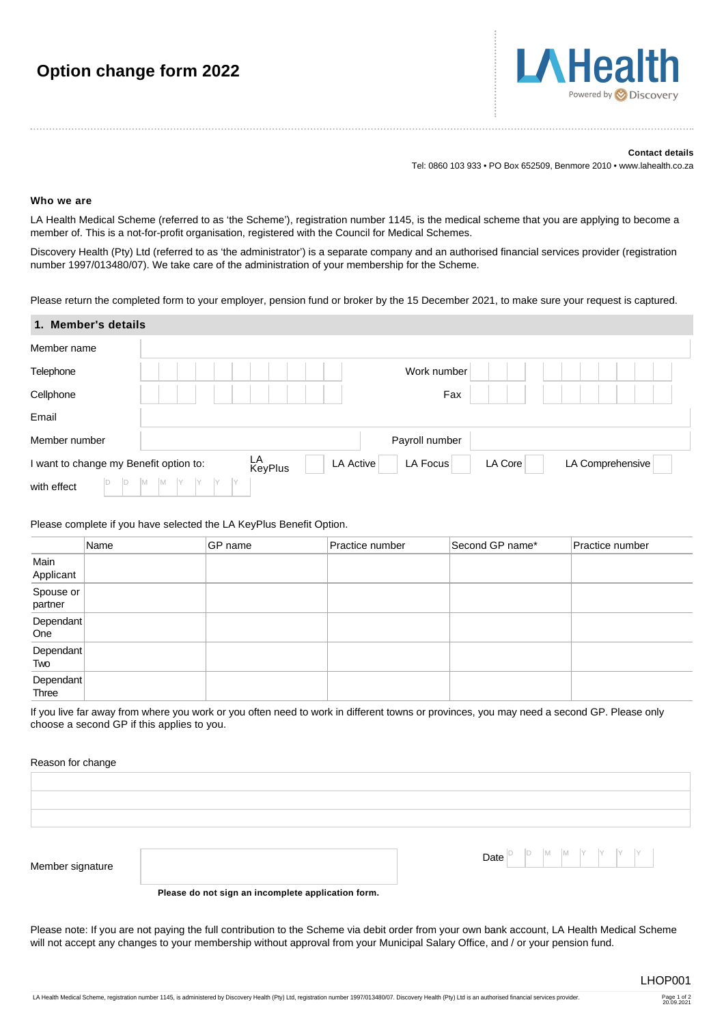# **Option change form 2022**

#### **Contact details**

Tel: 0860 103 933 • PO Box 652509, Benmore 2010 • www.lahealth.co.za

### **Who we are**

LA Health Medical Scheme (referred to as 'the Scheme'), registration number 1145, is the medical scheme that you are applying to become a member of. This is a not-for-profit organisation, registered with the Council for Medical Schemes.

Discovery Health (Pty) Ltd (referred to as 'the administrator') is a separate company and an authorised financial services provider (registration number 1997/013480/07). We take care of the administration of your membership for the Scheme.

Please return the completed form to your employer, pension fund or broker by the 15 December 2021, to make sure your request is captured.

| 1. Member's details                    |                                                                              |
|----------------------------------------|------------------------------------------------------------------------------|
| Member name                            |                                                                              |
| Telephone                              | Work number                                                                  |
| Cellphone                              | Fax                                                                          |
| Email                                  |                                                                              |
| Member number                          | Payroll number                                                               |
| I want to change my Benefit option to: | LA<br>KeyPlus<br><b>LA Active</b><br>LA Focus<br>LA Core<br>LA Comprehensive |
| ID.<br>ιD<br>with effect               | IM.<br>M                                                                     |

### Please complete if you have selected the LA KeyPlus Benefit Option.

|                      | Name | GP name | Practice number | Second GP name* | Practice number |
|----------------------|------|---------|-----------------|-----------------|-----------------|
| Main<br>Applicant    |      |         |                 |                 |                 |
| Spouse or<br>partner |      |         |                 |                 |                 |
| Dependant<br>One     |      |         |                 |                 |                 |
| Dependant<br>Two     |      |         |                 |                 |                 |
| Dependant<br>Three   |      |         |                 |                 |                 |

If you live far away from where you work or you often need to work in different towns or provinces, you may need a second GP. Please only choose a second GP if this applies to you.

### Reason for change

| Member signature | <b>Date</b> $\begin{bmatrix} D \\ D \end{bmatrix}$ $\begin{bmatrix} D \\ M \end{bmatrix}$ $\begin{bmatrix} M \\ N \end{bmatrix}$ $\begin{bmatrix} Y \\ Y \end{bmatrix}$ $\begin{bmatrix} Y \\ Y \end{bmatrix}$ |
|------------------|----------------------------------------------------------------------------------------------------------------------------------------------------------------------------------------------------------------|

**Please do not sign an incomplete application form.**

Please note: If you are not paying the full contribution to the Scheme via debit order from your own bank account, LA Health Medical Scheme will not accept any changes to your membership without approval from your Municipal Salary Office, and / or your pension fund.